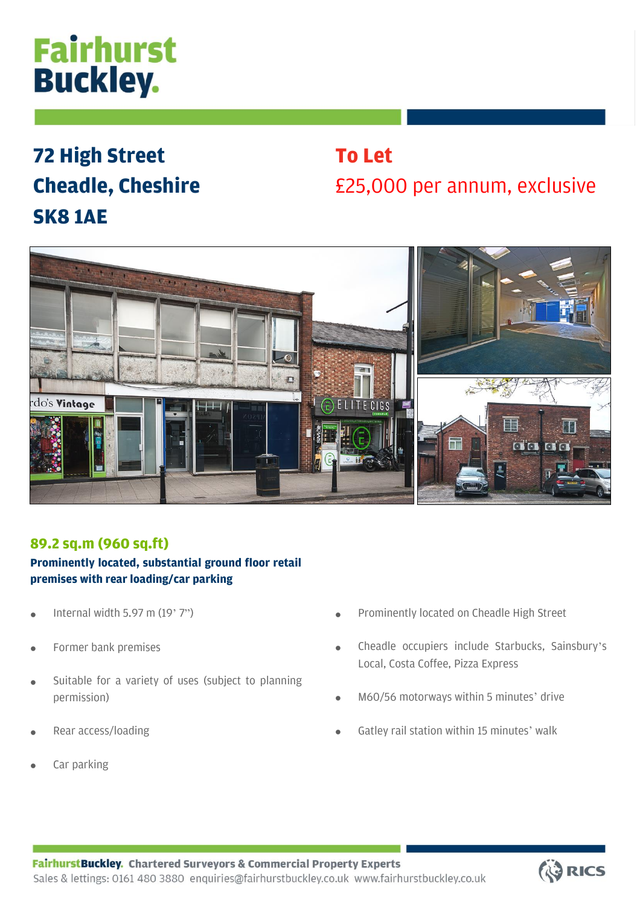# **Fairhurst Buckley.**

# **72 High Street Cheadle, Cheshire SK8 1AE**

# **To Let** £25,000 per annum, exclusive



### **89.2 sq.m (960 sq.ft)**

### **Prominently located, substantial ground floor retail premises with rear loading/car parking**

- Internal width 5.97 m  $(19'7")$
- Former bank premises
- Suitable for a variety of uses (subject to planning permission)
- Rear access/loading
- Car parking
- Prominently located on Cheadle High Street
- Cheadle occupiers include Starbucks, Sainsbury's Local, Costa Coffee, Pizza Express
- M60/56 motorways within 5 minutes' drive
- Gatley rail station within 15 minutes' walk

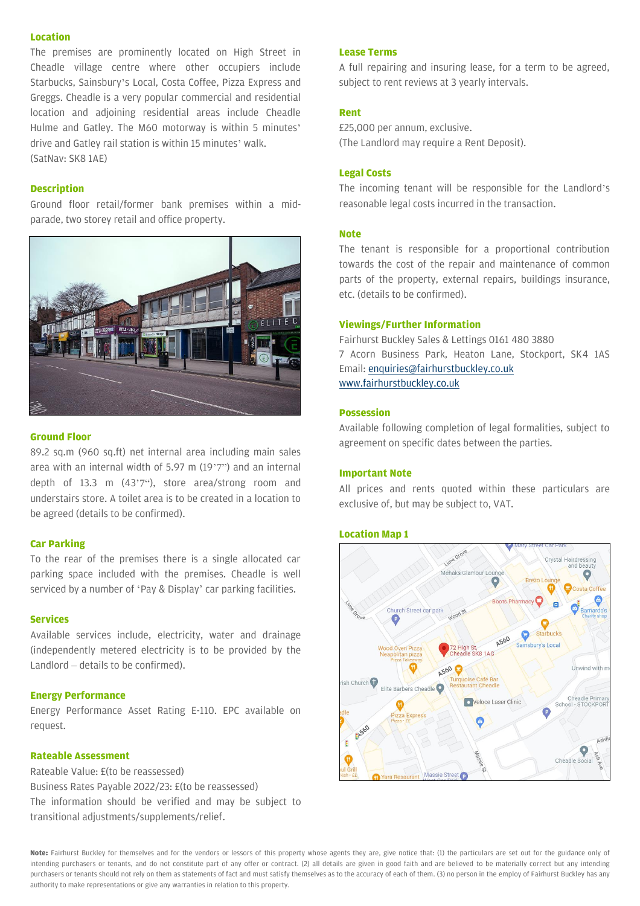#### **Location**

The premises are prominently located on High Street in Cheadle village centre where other occupiers include Starbucks, Sainsbury's Local, Costa Coffee, Pizza Express and Greggs. Cheadle is a very popular commercial and residential location and adjoining residential areas include Cheadle Hulme and Gatley. The M60 motorway is within 5 minutes' drive and Gatley rail station is within 15 minutes' walk. (SatNav: SK8 1AE)

#### **Description**

Ground floor retail/former bank premises within a midparade, two storey retail and office property.



#### **Ground Floor**

89.2 sq.m (960 sq.ft) net internal area including main sales area with an internal width of 5.97 m (19'7") and an internal depth of 13.3 m (43'7"), store area/strong room and understairs store. A toilet area is to be created in a location to be agreed (details to be confirmed).

#### **Car Parking**

To the rear of the premises there is a single allocated car parking space included with the premises. Cheadle is well serviced by a number of 'Pay & Display' car parking facilities.

#### **Services**

Available services include, electricity, water and drainage (independently metered electricity is to be provided by the Landlord – details to be confirmed).

#### **Energy Performance**

Energy Performance Asset Rating E-110. EPC available on request.

#### **Rateable Assessment**

Rateable Value: £(to be reassessed) Business Rates Payable 2022/23: £(to be reassessed) The information should be verified and may be subject to transitional adjustments/supplements/relief.

#### **Lease Terms**

A full repairing and insuring lease, for a term to be agreed, subject to rent reviews at 3 yearly intervals.

#### **Rent**

£25,000 per annum, exclusive. (The Landlord may require a Rent Deposit).

#### **Legal Costs**

The incoming tenant will be responsible for the Landlord's reasonable legal costs incurred in the transaction.

#### **Note**

The tenant is responsible for a proportional contribution towards the cost of the repair and maintenance of common parts of the property, external repairs, buildings insurance, etc. (details to be confirmed).

#### **Viewings/Further Information**

Fairhurst Buckley Sales & Lettings 0161 480 3880 7 Acorn Business Park, Heaton Lane, Stockport, SK4 1AS Email[: enquiries@fairhurstbuckley.co.uk](mailto:enquiries@fairhurstbuckley.co.uk) [www.fairhurstbuckley.co.uk](http://www.fairhurstbuckley.co.uk/)

#### **Possession**

Available following completion of legal formalities, subject to agreement on specific dates between the parties.

#### **Important Note**

All prices and rents quoted within these particulars are exclusive of, but may be subject to, VAT.

#### **Location Map 1**



**Note:** Fairhurst Buckley for themselves and for the vendors or lessors of this property whose agents they are, give notice that: (1) the particulars are set out for the guidance only of intending purchasers or tenants, and do not constitute part of any offer or contract. (2) all details are given in good faith and are believed to be materially correct but any intending purchasers or tenants should not rely on them as statements of fact and must satisfy themselves as to the accuracy of each of them. (3) no person in the employ of Fairhurst Buckley has any authority to make representations or give any warranties in relation to this property.